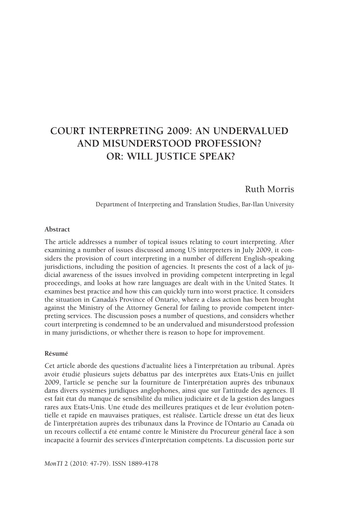# **Court Interpreting 2009: An Undervalued and Misunderstood Profession? Or: Will Justice Speak?**

# Ruth Morris

Department of Interpreting and Translation Studies, Bar-Ilan University

#### **Abstract**

The article addresses a number of topical issues relating to court interpreting. After examining a number of issues discussed among US interpreters in July 2009, it considers the provision of court interpreting in a number of different English-speaking jurisdictions, including the position of agencies. It presents the cost of a lack of judicial awareness of the issues involved in providing competent interpreting in legal proceedings, and looks at how rare languages are dealt with in the United States. It examines best practice and how this can quickly turn into worst practice. It considers the situation in Canada's Province of Ontario, where a class action has been brought against the Ministry of the Attorney General for failing to provide competent interpreting services. The discussion poses a number of questions, and considers whether court interpreting is condemned to be an undervalued and misunderstood profession in many jurisdictions, or whether there is reason to hope for improvement.

#### **Résumé**

Cet article aborde des questions d'actualité liées à l'interprétation au tribunal. Après avoir étudié plusieurs sujets débattus par des interprètes aux Etats-Unis en juillet 2009, l'article se penche sur la fourniture de l'interprétation auprès des tribunaux dans divers systèmes juridiques anglophones, ainsi que sur l'attitude des agences. Il est fait état du manque de sensibilité du milieu judiciaire et de la gestion des langues rares aux Etats-Unis. Une étude des meilleures pratiques et de leur évolution potentielle et rapide en mauvaises pratiques, est réalisée. L'article dresse un état des lieux de l'interprétation auprès des tribunaux dans la Province de l'Ontario au Canada où un recours collectif a été entamé contre le Ministère du Procureur général face à son incapacité à fournir des services d'interprétation compétents. La discussion porte sur

*MonTI* 2 (2010: 47-79). ISSN 1889-4178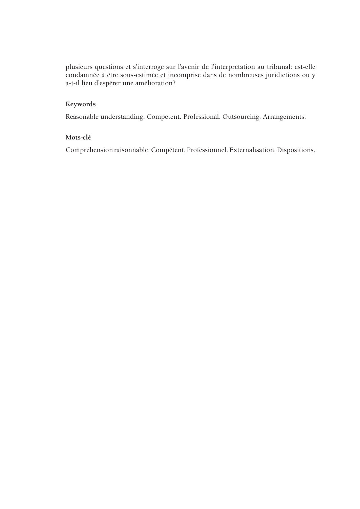plusieurs questions et s'interroge sur l'avenir de l'interprétation au tribunal: est-elle condamnée à être sous-estimée et incomprise dans de nombreuses juridictions ou y a-t-il lieu d'espérer une amélioration?

### **Keywords**

Reasonable understanding. Competent. Professional. Outsourcing. Arrangements.

### **Mots-clé**

Compréhension raisonnable. Compétent. Professionnel. Externalisation. Dispositions.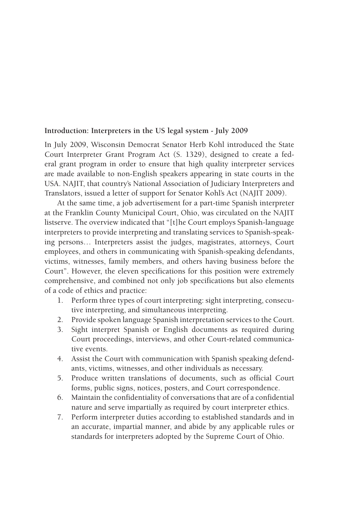### **Introduction: Interpreters in the US legal system - July 2009**

In July 2009, Wisconsin Democrat Senator Herb Kohl introduced the State Court Interpreter Grant Program Act (S. 1329), designed to create a federal grant program in order to ensure that high quality interpreter services are made available to non-English speakers appearing in state courts in the USA. NAJIT, that country's National Association of Judiciary Interpreters and Translators, issued a letter of support for Senator Kohl's Act (NAJIT 2009).

At the same time, a job advertisement for a part-time Spanish interpreter at the Franklin County Municipal Court, Ohio, was circulated on the NAJIT listserve. The overview indicated that "[t]he Court employs Spanish-language interpreters to provide interpreting and translating services to Spanish-speaking persons… Interpreters assist the judges, magistrates, attorneys, Court employees, and others in communicating with Spanish-speaking defendants, victims, witnesses, family members, and others having business before the Court". However, the eleven specifications for this position were extremely comprehensive, and combined not only job specifications but also elements of a code of ethics and practice:

- 1. Perform three types of court interpreting: sight interpreting, consecutive interpreting, and simultaneous interpreting.
- 2. Provide spoken language Spanish interpretation services to the Court.
- 3. Sight interpret Spanish or English documents as required during Court proceedings, interviews, and other Court-related communicative events.
- 4. Assist the Court with communication with Spanish speaking defendants, victims, witnesses, and other individuals as necessary.
- 5. Produce written translations of documents, such as official Court forms, public signs, notices, posters, and Court correspondence.
- 6. Maintain the confidentiality of conversations that are of a confidential nature and serve impartially as required by court interpreter ethics.
- 7. Perform interpreter duties according to established standards and in an accurate, impartial manner, and abide by any applicable rules or standards for interpreters adopted by the Supreme Court of Ohio.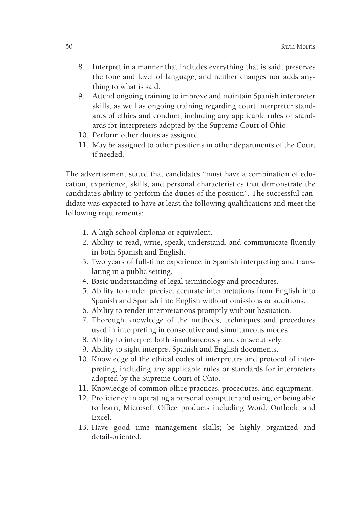- 8. Interpret in a manner that includes everything that is said, preserves the tone and level of language, and neither changes nor adds anything to what is said.
- 9. Attend ongoing training to improve and maintain Spanish interpreter skills, as well as ongoing training regarding court interpreter standards of ethics and conduct, including any applicable rules or standards for interpreters adopted by the Supreme Court of Ohio.
- 10. Perform other duties as assigned.
- 11. May be assigned to other positions in other departments of the Court if needed.

The advertisement stated that candidates "must have a combination of education, experience, skills, and personal characteristics that demonstrate the candidate's ability to perform the duties of the position". The successful candidate was expected to have at least the following qualifications and meet the following requirements:

- 1. A high school diploma or equivalent.
- 2. Ability to read, write, speak, understand, and communicate fluently in both Spanish and English.
- 3. Two years of full-time experience in Spanish interpreting and translating in a public setting.
- 4. Basic understanding of legal terminology and procedures.
- 5. Ability to render precise, accurate interpretations from English into Spanish and Spanish into English without omissions or additions.
- 6. Ability to render interpretations promptly without hesitation.
- 7. Thorough knowledge of the methods, techniques and procedures used in interpreting in consecutive and simultaneous modes.
- 8. Ability to interpret both simultaneously and consecutively.
- 9. Ability to sight interpret Spanish and English documents.
- 10. Knowledge of the ethical codes of interpreters and protocol of interpreting, including any applicable rules or standards for interpreters adopted by the Supreme Court of Ohio.
- 11. Knowledge of common office practices, procedures, and equipment.
- 12. Proficiency in operating a personal computer and using, or being able to learn, Microsoft Office products including Word, Outlook, and Excel.
- 13. Have good time management skills; be highly organized and detail-oriented.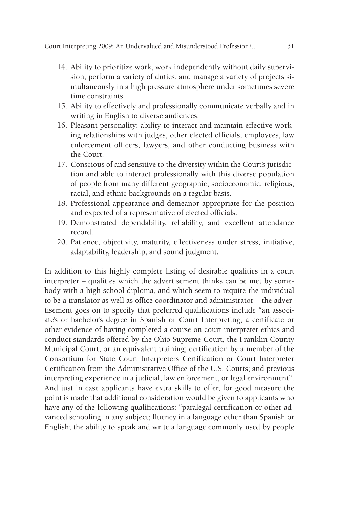- 14. Ability to prioritize work, work independently without daily supervision, perform a variety of duties, and manage a variety of projects simultaneously in a high pressure atmosphere under sometimes severe time constraints.
- 15. Ability to effectively and professionally communicate verbally and in writing in English to diverse audiences.
- 16. Pleasant personality; ability to interact and maintain effective working relationships with judges, other elected officials, employees, law enforcement officers, lawyers, and other conducting business with the Court.
- 17. Conscious of and sensitive to the diversity within the Court's jurisdiction and able to interact professionally with this diverse population of people from many different geographic, socioeconomic, religious, racial, and ethnic backgrounds on a regular basis.
- 18. Professional appearance and demeanor appropriate for the position and expected of a representative of elected officials.
- 19. Demonstrated dependability, reliability, and excellent attendance record.
- 20. Patience, objectivity, maturity, effectiveness under stress, initiative, adaptability, leadership, and sound judgment.

In addition to this highly complete listing of desirable qualities in a court interpreter – qualities which the advertisement thinks can be met by somebody with a high school diploma, and which seem to require the individual to be a translator as well as office coordinator and administrator – the advertisement goes on to specify that preferred qualifications include "an associate's or bachelor's degree in Spanish or Court Interpreting; a certificate or other evidence of having completed a course on court interpreter ethics and conduct standards offered by the Ohio Supreme Court, the Franklin County Municipal Court, or an equivalent training; certification by a member of the Consortium for State Court Interpreters Certification or Court Interpreter Certification from the Administrative Office of the U.S. Courts; and previous interpreting experience in a judicial, law enforcement, or legal environment". And just in case applicants have extra skills to offer, for good measure the point is made that additional consideration would be given to applicants who have any of the following qualifications: "paralegal certification or other advanced schooling in any subject; fluency in a language other than Spanish or English; the ability to speak and write a language commonly used by people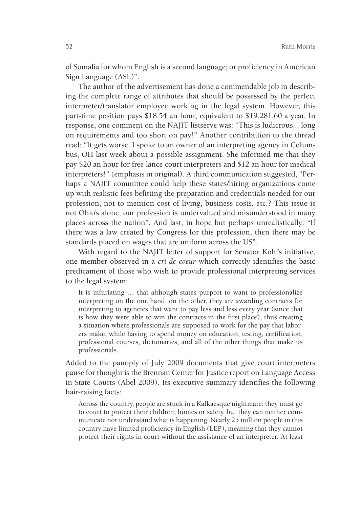of Somalia for whom English is a second language; or proficiency in American Sign Language (ASL)".

The author of the advertisement has done a commendable job in describing the complete range of attributes that should be possessed by the perfect interpreter/translator employee working in the legal system. However, this part-time position pays \$18.54 an hour, equivalent to \$19,281.60 a year. In response, one comment on the NAJIT listserve was: "This is ludicrous... long on requirements and too short on pay!" Another contribution to the thread read: "It gets worse. I spoke to an owner of an interpreting agency in Columbus, OH last week about a possible assignment. She informed me that they pay \$20 an hour for free lance court interpreters and *\$12* an hour for medical interpreters!" (emphasis in original). A third communication suggested, "Perhaps a NAJIT committee could help these states/hiring organizations come up with realistic fees befitting the preparation and credentials needed for our profession, not to mention cost of living, business costs, etc.? This issue is not Ohio's alone, our profession is undervalued and misunderstood in many places across the nation". And last, in hope but perhaps unrealistically: "If there was a law created by Congress for this profession, then there may be standards placed on wages that are uniform across the US".

With regard to the NAJIT letter of support for Senator Kohl's initiative, one member observed in a *cri de coeur* which correctly identifies the basic predicament of those who wish to provide professional interpreting services to the legal system:

It is infuriating … that although states purport to want to professionalize interpreting on the one hand, on the other, they are awarding contracts for interpreting to agencies that want to pay less and less every year (since that is how they were able to win the contracts in the first place), thus creating a situation where professionals are supposed to work for the pay that laborers make, while having to spend money on education, testing, certification, professional courses, dictionaries, and all of the other things that make us professionals.

Added to the panoply of July 2009 documents that give court interpreters pause for thought is the Brennan Center for Justice report on Language Access in State Courts (Abel 2009). Its executive summary identifies the following hair-raising facts:

Across the country, people are stuck in a Kafkaesque nightmare: they must go to court to protect their children, homes or safety, but they can neither communicate nor understand what is happening. Nearly 25 million people in this country have limited proficiency in English (LEP), meaning that they cannot protect their rights in court without the assistance of an interpreter. At least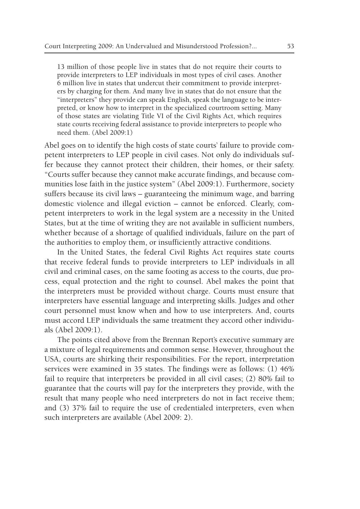13 million of those people live in states that do not require their courts to provide interpreters to LEP individuals in most types of civil cases. Another 6 million live in states that undercut their commitment to provide interpreters by charging for them. And many live in states that do not ensure that the "interpreters" they provide can speak English, speak the language to be interpreted, or know how to interpret in the specialized courtroom setting. Many of those states are violating Title VI of the Civil Rights Act, which requires state courts receiving federal assistance to provide interpreters to people who need them. (Abel 2009:1)

Abel goes on to identify the high costs of state courts' failure to provide competent interpreters to LEP people in civil cases. Not only do individuals suffer because they cannot protect their children, their homes, or their safety. "Courts suffer because they cannot make accurate findings, and because communities lose faith in the justice system" (Abel 2009:1). Furthermore, society suffers because its civil laws – guaranteeing the minimum wage, and barring domestic violence and illegal eviction – cannot be enforced. Clearly, competent interpreters to work in the legal system are a necessity in the United States, but at the time of writing they are not available in sufficient numbers, whether because of a shortage of qualified individuals, failure on the part of the authorities to employ them, or insufficiently attractive conditions.

In the United States, the federal Civil Rights Act requires state courts that receive federal funds to provide interpreters to LEP individuals in all civil and criminal cases, on the same footing as access to the courts, due process, equal protection and the right to counsel. Abel makes the point that the interpreters must be provided without charge. Courts must ensure that interpreters have essential language and interpreting skills. Judges and other court personnel must know when and how to use interpreters. And, courts must accord LEP individuals the same treatment they accord other individuals (Abel 2009:1).

The points cited above from the Brennan Report's executive summary are a mixture of legal requirements and common sense. However, throughout the USA, courts are shirking their responsibilities. For the report, interpretation services were examined in 35 states. The findings were as follows: (1) 46% fail to require that interpreters be provided in all civil cases; (2) 80% fail to guarantee that the courts will pay for the interpreters they provide, with the result that many people who need interpreters do not in fact receive them; and (3) 37% fail to require the use of credentialed interpreters, even when such interpreters are available (Abel 2009: 2).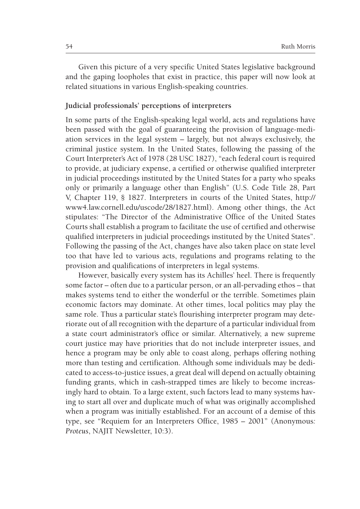Given this picture of a very specific United States legislative background and the gaping loopholes that exist in practice, this paper will now look at related situations in various English-speaking countries.

### **Judicial professionals' perceptions of interpreters**

In some parts of the English-speaking legal world, acts and regulations have been passed with the goal of guaranteeing the provision of language-mediation services in the legal system – largely, but not always exclusively, the criminal justice system. In the United States, following the passing of the Court Interpreter's Act of 1978 (28 USC 1827), "each federal court is required to provide, at judiciary expense, a certified or otherwise qualified interpreter in judicial proceedings instituted by the United States for a party who speaks only or primarily a language other than English" (U.S. Code Title 28, Part V, Chapter 119, § 1827. Interpreters in courts of the United States, http:// www4.law.cornell.edu/uscode/28/1827.html). Among other things, the Act stipulates: "The Director of the Administrative Office of the United States Courts shall establish a program to facilitate the use of certified and otherwise qualified interpreters in judicial proceedings instituted by the United States". Following the passing of the Act, changes have also taken place on state level too that have led to various acts, regulations and programs relating to the provision and qualifications of interpreters in legal systems.

However, basically every system has its Achilles' heel. There is frequently some factor – often due to a particular person, or an all-pervading ethos – that makes systems tend to either the wonderful or the terrible. Sometimes plain economic factors may dominate. At other times, local politics may play the same role. Thus a particular state's flourishing interpreter program may deteriorate out of all recognition with the departure of a particular individual from a state court administrator's office or similar. Alternatively, a new supreme court justice may have priorities that do not include interpreter issues, and hence a program may be only able to coast along, perhaps offering nothing more than testing and certification. Although some individuals may be dedicated to access-to-justice issues, a great deal will depend on actually obtaining funding grants, which in cash-strapped times are likely to become increasingly hard to obtain. To a large extent, such factors lead to many systems having to start all over and duplicate much of what was originally accomplished when a program was initially established. For an account of a demise of this type, see "Requiem for an Interpreters Office, 1985 – 2001" (Anonymous*: Proteus*, NAJIT Newsletter, 10:3).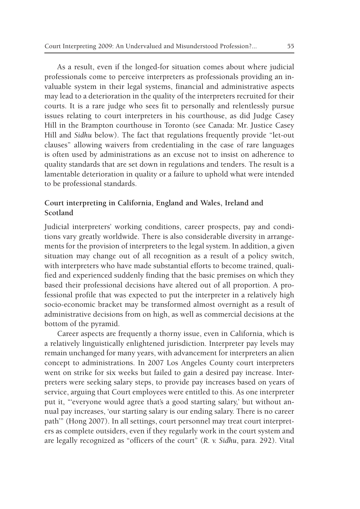As a result, even if the longed-for situation comes about where judicial professionals come to perceive interpreters as professionals providing an invaluable system in their legal systems, financial and administrative aspects may lead to a deterioration in the quality of the interpreters recruited for their courts. It is a rare judge who sees fit to personally and relentlessly pursue issues relating to court interpreters in his courthouse, as did Judge Casey Hill in the Brampton courthouse in Toronto (see Canada: Mr. Justice Casey Hill and *Sidhu* below). The fact that regulations frequently provide "let-out clauses" allowing waivers from credentialing in the case of rare languages is often used by administrations as an excuse not to insist on adherence to quality standards that are set down in regulations and tenders. The result is a lamentable deterioration in quality or a failure to uphold what were intended to be professional standards.

# **Court interpreting in California, England and Wales, Ireland and Scotland**

Judicial interpreters' working conditions, career prospects, pay and conditions vary greatly worldwide. There is also considerable diversity in arrangements for the provision of interpreters to the legal system. In addition, a given situation may change out of all recognition as a result of a policy switch, with interpreters who have made substantial efforts to become trained, qualified and experienced suddenly finding that the basic premises on which they based their professional decisions have altered out of all proportion. A professional profile that was expected to put the interpreter in a relatively high socio-economic bracket may be transformed almost overnight as a result of administrative decisions from on high, as well as commercial decisions at the bottom of the pyramid.

Career aspects are frequently a thorny issue, even in California, which is a relatively linguistically enlightened jurisdiction. Interpreter pay levels may remain unchanged for many years, with advancement for interpreters an alien concept to administrations. In 2007 Los Angeles County court interpreters went on strike for six weeks but failed to gain a desired pay increase. Interpreters were seeking salary steps, to provide pay increases based on years of service, arguing that Court employees were entitled to this. As one interpreter put it, "'everyone would agree that's a good starting salary,' but without annual pay increases, 'our starting salary is our ending salary. There is no career path'" (Hong 2007). In all settings, court personnel may treat court interpreters as complete outsiders, even if they regularly work in the court system and are legally recognized as "officers of the court" (*R. v. Sidhu*, para. 292). Vital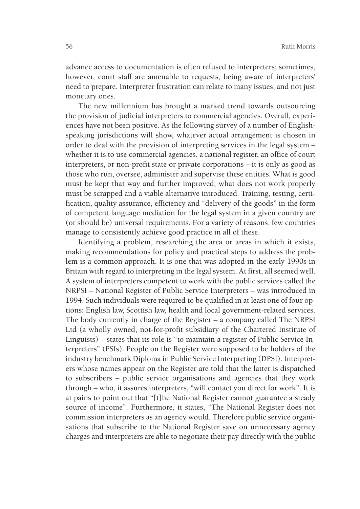advance access to documentation is often refused to interpreters; sometimes, however, court staff are amenable to requests, being aware of interpreters' need to prepare. Interpreter frustration can relate to many issues, and not just monetary ones.

The new millennium has brought a marked trend towards outsourcing the provision of judicial interpreters to commercial agencies. Overall, experiences have not been positive. As the following survey of a number of Englishspeaking jurisdictions will show, whatever actual arrangement is chosen in order to deal with the provision of interpreting services in the legal system – whether it is to use commercial agencies, a national register, an office of court interpreters, or non-profit state or private corporations – it is only as good as those who run, oversee, administer and supervise these entities. What is good must be kept that way and further improved; what does not work properly must be scrapped and a viable alternative introduced. Training, testing, certification, quality assurance, efficiency and "delivery of the goods" in the form of competent language mediation for the legal system in a given country are (or should be) universal requirements. For a variety of reasons, few countries manage to consistently achieve good practice in all of these.

Identifying a problem, researching the area or areas in which it exists, making recommendations for policy and practical steps to address the problem is a common approach. It is one that was adopted in the early 1990s in Britain with regard to interpreting in the legal system. At first, all seemed well. A system of interpreters competent to work with the public services called the NRPSI – National Register of Public Service Interpreters – was introduced in 1994. Such individuals were required to be qualified in at least one of four options: English law, Scottish law, health and local government-related services. The body currently in charge of the Register – a company called The NRPSI Ltd (a wholly owned, not-for-profit subsidiary of the Chartered Institute of Linguists) – states that its role is "to maintain a register of Public Service Interpreters" (PSIs). People on the Register were supposed to be holders of the industry benchmark Diploma in Public Service Interpreting (DPSI). Interpreters whose names appear on the Register are told that the latter is dispatched to subscribers – public service organisations and agencies that they work through – who, it assures interpreters, "will contact you direct for work". It is at pains to point out that "[t]he National Register cannot guarantee a steady source of income". Furthermore, it states, "The National Register does not commission interpreters as an agency would. Therefore public service organisations that subscribe to the National Register save on unnecessary agency charges and interpreters are able to negotiate their pay directly with the public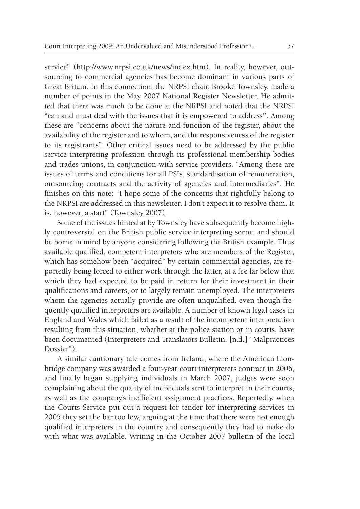service" (http://www.nrpsi.co.uk/news/index.htm). In reality, however, outsourcing to commercial agencies has become dominant in various parts of Great Britain. In this connection, the NRPSI chair, Brooke Townsley, made a number of points in the May 2007 National Register Newsletter. He admitted that there was much to be done at the NRPSI and noted that the NRPSI "can and must deal with the issues that it is empowered to address". Among these are "concerns about the nature and function of the register, about the availability of the register and to whom, and the responsiveness of the register to its registrants". Other critical issues need to be addressed by the public service interpreting profession through its professional membership bodies and trades unions, in conjunction with service providers. "Among these are issues of terms and conditions for all PSIs, standardisation of remuneration, outsourcing contracts and the activity of agencies and intermediaries". He finishes on this note: "I hope some of the concerns that rightfully belong to the NRPSI are addressed in this newsletter. I don't expect it to resolve them. It is, however, a start" (Townsley 2007).

Some of the issues hinted at by Townsley have subsequently become highly controversial on the British public service interpreting scene, and should be borne in mind by anyone considering following the British example. Thus available qualified, competent interpreters who are members of the Register, which has somehow been "acquired" by certain commercial agencies, are reportedly being forced to either work through the latter, at a fee far below that which they had expected to be paid in return for their investment in their qualifications and careers, or to largely remain unemployed. The interpreters whom the agencies actually provide are often unqualified, even though frequently qualified interpreters are available. A number of known legal cases in England and Wales which failed as a result of the incompetent interpretation resulting from this situation, whether at the police station or in courts, have been documented (Interpreters and Translators Bulletin. [n.d.] "Malpractices Dossier").

A similar cautionary tale comes from Ireland, where the American Lionbridge company was awarded a four-year court interpreters contract in 2006, and finally began supplying individuals in March 2007, judges were soon complaining about the quality of individuals sent to interpret in their courts, as well as the company's inefficient assignment practices. Reportedly, when the Courts Service put out a request for tender for interpreting services in 2005 they set the bar too low, arguing at the time that there were not enough qualified interpreters in the country and consequently they had to make do with what was available. Writing in the October 2007 bulletin of the local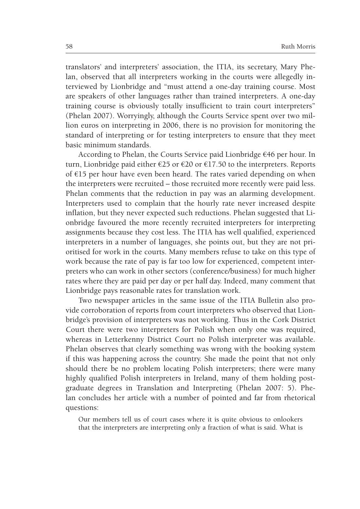translators' and interpreters' association, the ITIA, its secretary, Mary Phelan, observed that all interpreters working in the courts were allegedly interviewed by Lionbridge and "must attend a one-day training course. Most are speakers of other languages rather than trained interpreters. A one-day training course is obviously totally insufficient to train court interpreters" (Phelan 2007). Worryingly, although the Courts Service spent over two million euros on interpreting in 2006, there is no provision for monitoring the standard of interpreting or for testing interpreters to ensure that they meet basic minimum standards.

According to Phelan, the Courts Service paid Lionbridge €46 per hour. In turn, Lionbridge paid either  $\epsilon$ 25 or  $\epsilon$ 20 or  $\epsilon$ 17.50 to the interpreters. Reports of €15 per hour have even been heard. The rates varied depending on when the interpreters were recruited – those recruited more recently were paid less. Phelan comments that the reduction in pay was an alarming development. Interpreters used to complain that the hourly rate never increased despite inflation, but they never expected such reductions. Phelan suggested that Lionbridge favoured the more recently recruited interpreters for interpreting assignments because they cost less. The ITIA has well qualified, experienced interpreters in a number of languages, she points out, but they are not prioritised for work in the courts. Many members refuse to take on this type of work because the rate of pay is far too low for experienced, competent interpreters who can work in other sectors (conference/business) for much higher rates where they are paid per day or per half day. Indeed, many comment that Lionbridge pays reasonable rates for translation work.

Two newspaper articles in the same issue of the ITIA Bulletin also provide corroboration of reports from court interpreters who observed that Lionbridge's provision of interpreters was not working. Thus in the Cork District Court there were two interpreters for Polish when only one was required, whereas in Letterkenny District Court no Polish interpreter was available. Phelan observes that clearly something was wrong with the booking system if this was happening across the country. She made the point that not only should there be no problem locating Polish interpreters; there were many highly qualified Polish interpreters in Ireland, many of them holding postgraduate degrees in Translation and Interpreting (Phelan 2007: 5). Phelan concludes her article with a number of pointed and far from rhetorical questions:

Our members tell us of court cases where it is quite obvious to onlookers that the interpreters are interpreting only a fraction of what is said. What is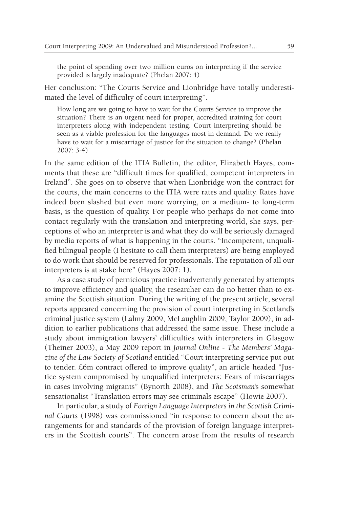the point of spending over two million euros on interpreting if the service provided is largely inadequate? (Phelan 2007: 4)

Her conclusion: "The Courts Service and Lionbridge have totally underestimated the level of difficulty of court interpreting".

How long are we going to have to wait for the Courts Service to improve the situation? There is an urgent need for proper, accredited training for court interpreters along with independent testing. Court interpreting should be seen as a viable profession for the languages most in demand. Do we really have to wait for a miscarriage of justice for the situation to change? (Phelan 2007: 3-4)

In the same edition of the ITIA Bulletin, the editor, Elizabeth Hayes, comments that these are "difficult times for qualified, competent interpreters in Ireland". She goes on to observe that when Lionbridge won the contract for the courts, the main concerns to the ITIA were rates and quality. Rates have indeed been slashed but even more worrying, on a medium- to long-term basis, is the question of quality. For people who perhaps do not come into contact regularly with the translation and interpreting world, she says, perceptions of who an interpreter is and what they do will be seriously damaged by media reports of what is happening in the courts. "Incompetent, unqualified bilingual people (I hesitate to call them interpreters) are being employed to do work that should be reserved for professionals. The reputation of all our interpreters is at stake here" (Hayes 2007: 1).

As a case study of pernicious practice inadvertently generated by attempts to improve efficiency and quality, the researcher can do no better than to examine the Scottish situation. During the writing of the present article, several reports appeared concerning the provision of court interpreting in Scotland's criminal justice system (Lalmy 2009, McLaughlin 2009, Taylor 2009), in addition to earlier publications that addressed the same issue. These include a study about immigration lawyers' difficulties with interpreters in Glasgow (Theiner 2003), a May 2009 report in *Journal Online - The Members' Magazine of the Law Society of Scotland* entitled "Court interpreting service put out to tender. £6m contract offered to improve quality", an article headed "Justice system compromised by unqualified interpreters: Fears of miscarriages in cases involving migrants" (Bynorth 2008), and *The Scotsman*'s somewhat sensationalist "Translation errors may see criminals escape" (Howie 2007).

In particular, a study of *Foreign Language Interpreters in the Scottish Criminal Courts* (1998) was commissioned "in response to concern about the arrangements for and standards of the provision of foreign language interpreters in the Scottish courts". The concern arose from the results of research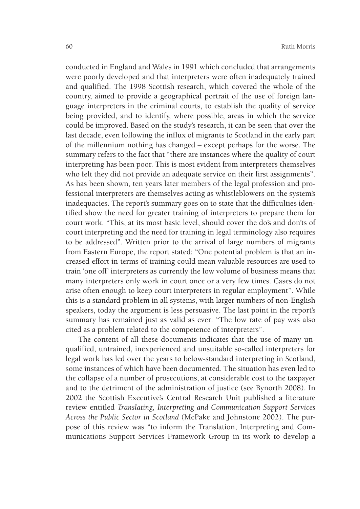conducted in England and Wales in 1991 which concluded that arrangements were poorly developed and that interpreters were often inadequately trained and qualified. The 1998 Scottish research, which covered the whole of the country, aimed to provide a geographical portrait of the use of foreign language interpreters in the criminal courts, to establish the quality of service being provided, and to identify, where possible, areas in which the service could be improved. Based on the study's research, it can be seen that over the last decade, even following the influx of migrants to Scotland in the early part of the millennium nothing has changed – except perhaps for the worse. The summary refers to the fact that "there are instances where the quality of court interpreting has been poor. This is most evident from interpreters themselves who felt they did not provide an adequate service on their first assignments". As has been shown, ten years later members of the legal profession and professional interpreters are themselves acting as whistleblowers on the system's inadequacies. The report's summary goes on to state that the difficulties identified show the need for greater training of interpreters to prepare them for court work. "This, at its most basic level, should cover the do's and don'ts of court interpreting and the need for training in legal terminology also requires to be addressed". Written prior to the arrival of large numbers of migrants from Eastern Europe, the report stated: "One potential problem is that an increased effort in terms of training could mean valuable resources are used to train 'one off' interpreters as currently the low volume of business means that many interpreters only work in court once or a very few times. Cases do not arise often enough to keep court interpreters in regular employment". While this is a standard problem in all systems, with larger numbers of non-English speakers, today the argument is less persuasive. The last point in the report's summary has remained just as valid as ever: "The low rate of pay was also cited as a problem related to the competence of interpreters".

The content of all these documents indicates that the use of many unqualified, untrained, inexperienced and unsuitable so-called interpreters for legal work has led over the years to below-standard interpreting in Scotland, some instances of which have been documented. The situation has even led to the collapse of a number of prosecutions, at considerable cost to the taxpayer and to the detriment of the administration of justice (see Bynorth 2008). In 2002 the Scottish Executive's Central Research Unit published a literature review entitled *Translating, Interpreting and Communication Support Services Across the Public Sector in Scotland* (McPake and Johnstone 2002). The purpose of this review was "to inform the Translation, Interpreting and Communications Support Services Framework Group in its work to develop a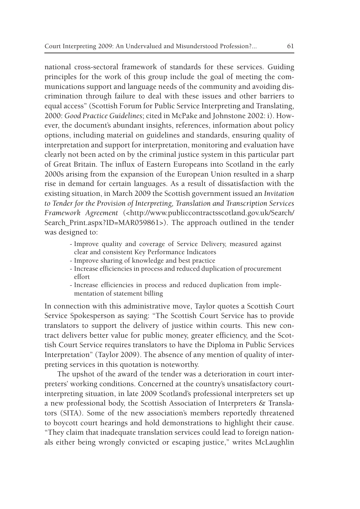national cross-sectoral framework of standards for these services. Guiding principles for the work of this group include the goal of meeting the communications support and language needs of the community and avoiding discrimination through failure to deal with these issues and other barriers to equal access" (Scottish Forum for Public Service Interpreting and Translating, 2000: *Good Practice Guidelines*; cited in McPake and Johnstone 2002: i). However, the document's abundant insights, references, information about policy options, including material on guidelines and standards, ensuring quality of interpretation and support for interpretation, monitoring and evaluation have clearly not been acted on by the criminal justice system in this particular part of Great Britain. The influx of Eastern Europeans into Scotland in the early 2000s arising from the expansion of the European Union resulted in a sharp rise in demand for certain languages. As a result of dissatisfaction with the existing situation, in March 2009 the Scottish government issued an *Invitation to Tender for the Provision of Interpreting, Translation and Transcription Services Framework Agreement* (<http://www.publiccontractsscotland.gov.uk/Search/ Search\_Print.aspx?ID=MAR059861>). The approach outlined in the tender was designed to:

- Improve quality and coverage of Service Delivery, measured against clear and consistent Key Performance Indicators
- Improve sharing of knowledge and best practice
- Increase efficiencies in process and reduced duplication of procurement effort
- Increase efficiencies in process and reduced duplication from implementation of statement billing

In connection with this administrative move, Taylor quotes a Scottish Court Service Spokesperson as saying: "The Scottish Court Service has to provide translators to support the delivery of justice within courts. This new contract delivers better value for public money, greater efficiency, and the Scottish Court Service requires translators to have the Diploma in Public Services Interpretation" (Taylor 2009). The absence of any mention of quality of interpreting services in this quotation is noteworthy.

The upshot of the award of the tender was a deterioration in court interpreters' working conditions. Concerned at the country's unsatisfactory courtinterpreting situation, in late 2009 Scotland's professional interpreters set up a new professional body, the Scottish Association of Interpreters & Translators (SITA). Some of the new association's members reportedly threatened to boycott court hearings and hold demonstrations to highlight their cause. "They claim that inadequate translation services could lead to foreign nationals either being wrongly convicted or escaping justice," writes McLaughlin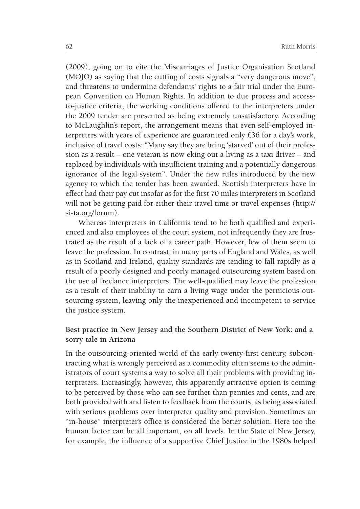(2009), going on to cite the Miscarriages of Justice Organisation Scotland (MOJO) as saying that the cutting of costs signals a "very dangerous move", and threatens to undermine defendants' rights to a fair trial under the European Convention on Human Rights. In addition to due process and accessto-justice criteria, the working conditions offered to the interpreters under the 2009 tender are presented as being extremely unsatisfactory. According to McLaughlin's report, the arrangement means that even self-employed interpreters with years of experience are guaranteed only £36 for a day's work, inclusive of travel costs: "Many say they are being 'starved' out of their profession as a result – one veteran is now eking out a living as a taxi driver – and replaced by individuals with insufficient training and a potentially dangerous ignorance of the legal system". Under the new rules introduced by the new agency to which the tender has been awarded, Scottish interpreters have in effect had their pay cut insofar as for the first 70 miles interpreters in Scotland will not be getting paid for either their travel time or travel expenses (http:// si-ta.org/forum).

Whereas interpreters in California tend to be both qualified and experienced and also employees of the court system, not infrequently they are frustrated as the result of a lack of a career path. However, few of them seem to leave the profession. In contrast, in many parts of England and Wales, as well as in Scotland and Ireland, quality standards are tending to fall rapidly as a result of a poorly designed and poorly managed outsourcing system based on the use of freelance interpreters. The well-qualified may leave the profession as a result of their inability to earn a living wage under the pernicious outsourcing system, leaving only the inexperienced and incompetent to service the justice system.

# **Best practice in New Jersey and the Southern District of New York: and a sorry tale in Arizona**

In the outsourcing-oriented world of the early twenty-first century, subcontracting what is wrongly perceived as a commodity often seems to the administrators of court systems a way to solve all their problems with providing interpreters. Increasingly, however, this apparently attractive option is coming to be perceived by those who can see further than pennies and cents, and are both provided with and listen to feedback from the courts, as being associated with serious problems over interpreter quality and provision. Sometimes an "in-house" interpreter's office is considered the better solution. Here too the human factor can be all important, on all levels. In the State of New Jersey, for example, the influence of a supportive Chief Justice in the 1980s helped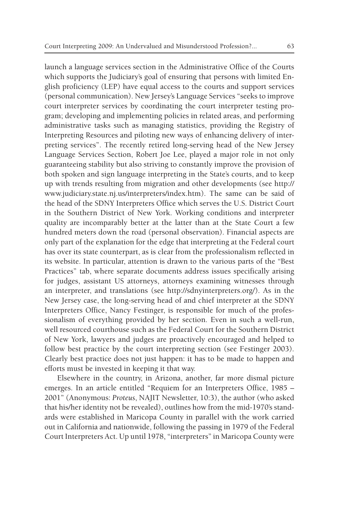launch a language services section in the Administrative Office of the Courts which supports the Judiciary's goal of ensuring that persons with limited English proficiency (LEP) have equal access to the courts and support services (personal communication). New Jersey's Language Services "seeks to improve court interpreter services by coordinating the court interpreter testing program; developing and implementing policies in related areas, and performing administrative tasks such as managing statistics, providing the Registry of Interpreting Resources and piloting new ways of enhancing delivery of interpreting services". The recently retired long-serving head of the New Jersey Language Services Section, Robert Joe Lee, played a major role in not only guaranteeing stability but also striving to constantly improve the provision of both spoken and sign language interpreting in the State's courts, and to keep up with trends resulting from migration and other developments (see http:// www.judiciary.state.nj.us/interpreters/index.htm). The same can be said of the head of the SDNY Interpreters Office which serves the U.S. District Court in the Southern District of New York. Working conditions and interpreter quality are incomparably better at the latter than at the State Court a few hundred meters down the road (personal observation). Financial aspects are only part of the explanation for the edge that interpreting at the Federal court has over its state counterpart, as is clear from the professionalism reflected in its website. In particular, attention is drawn to the various parts of the "Best Practices" tab, where separate documents address issues specifically arising for judges, assistant US attorneys, attorneys examining witnesses through an interpreter, and translations (see http://sdnyinterpreters.org/). As in the New Jersey case, the long-serving head of and chief interpreter at the SDNY Interpreters Office, Nancy Festinger, is responsible for much of the professionalism of everything provided by her section. Even in such a well-run, well resourced courthouse such as the Federal Court for the Southern District of New York, lawyers and judges are proactively encouraged and helped to follow best practice by the court interpreting section (see Festinger 2003). Clearly best practice does not just happen: it has to be made to happen and efforts must be invested in keeping it that way.

Elsewhere in the country, in Arizona, another, far more dismal picture emerges. In an article entitled "Requiem for an Interpreters Office, 1985 – 2001" (Anonymous: *Proteus*, NAJIT Newsletter, 10:3), the author (who asked that his/her identity not be revealed), outlines how from the mid-1970's standards were established in Maricopa County in parallel with the work carried out in California and nationwide, following the passing in 1979 of the Federal Court Interpreters Act. Up until 1978, "interpreters" in Maricopa County were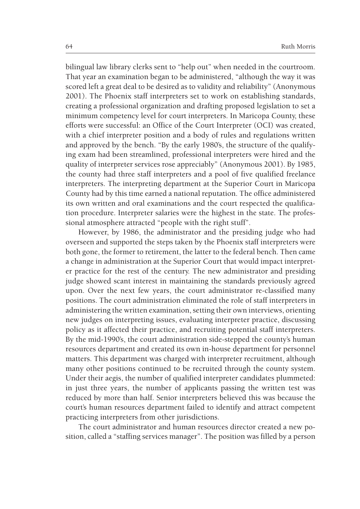bilingual law library clerks sent to "help out" when needed in the courtroom. That year an examination began to be administered, "although the way it was scored left a great deal to be desired as to validity and reliability" (Anonymous 2001). The Phoenix staff interpreters set to work on establishing standards, creating a professional organization and drafting proposed legislation to set a minimum competency level for court interpreters. In Maricopa County, these efforts were successful: an Office of the Court Interpreter (OCI) was created, with a chief interpreter position and a body of rules and regulations written and approved by the bench. "By the early 1980's, the structure of the qualifying exam had been streamlined, professional interpreters were hired and the quality of interpreter services rose appreciably" (Anonymous 2001). By 1985, the county had three staff interpreters and a pool of five qualified freelance interpreters. The interpreting department at the Superior Court in Maricopa County had by this time earned a national reputation. The office administered its own written and oral examinations and the court respected the qualification procedure. Interpreter salaries were the highest in the state. The professional atmosphere attracted "people with the right stuff".

However, by 1986, the administrator and the presiding judge who had overseen and supported the steps taken by the Phoenix staff interpreters were both gone, the former to retirement, the latter to the federal bench. Then came a change in administration at the Superior Court that would impact interpreter practice for the rest of the century. The new administrator and presiding judge showed scant interest in maintaining the standards previously agreed upon. Over the next few years, the court administrator re-classified many positions. The court administration eliminated the role of staff interpreters in administering the written examination, setting their own interviews, orienting new judges on interpreting issues, evaluating interpreter practice, discussing policy as it affected their practice, and recruiting potential staff interpreters. By the mid-1990's, the court administration side-stepped the county's human resources department and created its own in-house department for personnel matters. This department was charged with interpreter recruitment, although many other positions continued to be recruited through the county system. Under their aegis, the number of qualified interpreter candidates plummeted: in just three years, the number of applicants passing the written test was reduced by more than half. Senior interpreters believed this was because the court's human resources department failed to identify and attract competent practicing interpreters from other jurisdictions.

The court administrator and human resources director created a new position, called a "staffing services manager". The position was filled by a person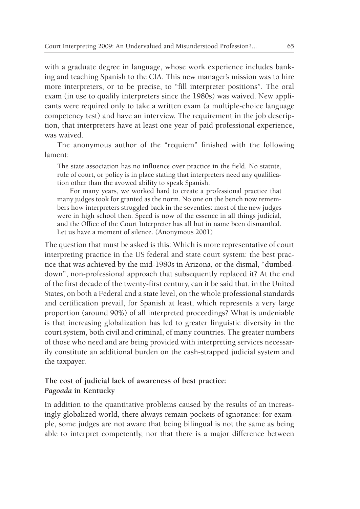with a graduate degree in language, whose work experience includes banking and teaching Spanish to the CIA. This new manager's mission was to hire more interpreters, or to be precise, to "fill interpreter positions". The oral exam (in use to qualify interpreters since the 1980s) was waived. New applicants were required only to take a written exam (a multiple-choice language competency test) and have an interview. The requirement in the job description, that interpreters have at least one year of paid professional experience, was waived.

The anonymous author of the "requiem" finished with the following lament:

The state association has no influence over practice in the field. No statute, rule of court, or policy is in place stating that interpreters need any qualification other than the avowed ability to speak Spanish.

For many years, we worked hard to create a professional practice that many judges took for granted as the norm. No one on the bench now remembers how interpreters struggled back in the seventies: most of the new judges were in high school then. Speed is now of the essence in all things judicial, and the Office of the Court Interpreter has all but in name been dismantled. Let us have a moment of silence. (Anonymous 2001)

The question that must be asked is this: Which is more representative of court interpreting practice in the US federal and state court system: the best practice that was achieved by the mid-1980s in Arizona, or the dismal, "dumbeddown", non-professional approach that subsequently replaced it? At the end of the first decade of the twenty-first century, can it be said that, in the United States, on both a Federal and a state level, on the whole professional standards and certification prevail, for Spanish at least, which represents a very large proportion (around 90%) of all interpreted proceedings? What is undeniable is that increasing globalization has led to greater linguistic diversity in the court system, both civil and criminal, of many countries. The greater numbers of those who need and are being provided with interpreting services necessarily constitute an additional burden on the cash-strapped judicial system and the taxpayer.

# **The cost of judicial lack of awareness of best practice:**  *Pagoada* **in Kentucky**

In addition to the quantitative problems caused by the results of an increasingly globalized world, there always remain pockets of ignorance: for example, some judges are not aware that being bilingual is not the same as being able to interpret competently, nor that there is a major difference between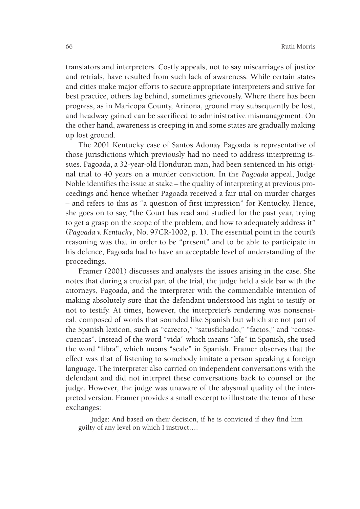translators and interpreters. Costly appeals, not to say miscarriages of justice and retrials, have resulted from such lack of awareness. While certain states and cities make major efforts to secure appropriate interpreters and strive for best practice, others lag behind, sometimes grievously. Where there has been progress, as in Maricopa County, Arizona, ground may subsequently be lost, and headway gained can be sacrificed to administrative mismanagement. On the other hand, awareness is creeping in and some states are gradually making up lost ground.

The 2001 Kentucky case of Santos Adonay Pagoada is representative of those jurisdictions which previously had no need to address interpreting issues. Pagoada, a 32-year-old Honduran man, had been sentenced in his original trial to 40 years on a murder conviction. In the *Pagoada* appeal, Judge Noble identifies the issue at stake – the quality of interpreting at previous proceedings and hence whether Pagoada received a fair trial on murder charges – and refers to this as "a question of first impression" for Kentucky. Hence, she goes on to say, "the Court has read and studied for the past year, trying to get a grasp on the scope of the problem, and how to adequately address it" (*Pagoada v. Kentucky*, No. 97CR-1002, p. 1). The essential point in the court's reasoning was that in order to be "present" and to be able to participate in his defence, Pagoada had to have an acceptable level of understanding of the proceedings.

Framer (2001) discusses and analyses the issues arising in the case. She notes that during a crucial part of the trial, the judge held a side bar with the attorneys, Pagoada, and the interpreter with the commendable intention of making absolutely sure that the defendant understood his right to testify or not to testify. At times, however, the interpreter's rendering was nonsensical, composed of words that sounded like Spanish but which are not part of the Spanish lexicon, such as "carecto," "satusfichado," "factos," and "consecuencas". Instead of the word "vida" which means "life" in Spanish, she used the word "libra", which means "scale" in Spanish. Framer observes that the effect was that of listening to somebody imitate a person speaking a foreign language. The interpreter also carried on independent conversations with the defendant and did not interpret these conversations back to counsel or the judge. However, the judge was unaware of the abysmal quality of the interpreted version. Framer provides a small excerpt to illustrate the tenor of these exchanges:

Judge: And based on their decision, if he is convicted if they find him guilty of any level on which I instruct….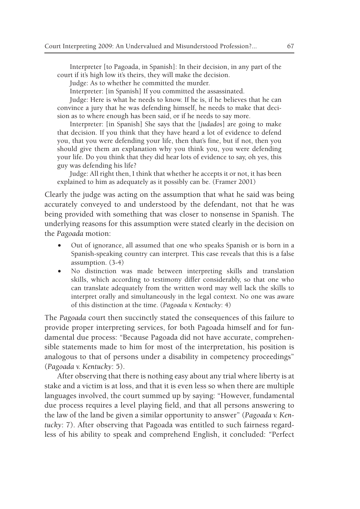Interpreter [to Pagoada, in Spanish]: In their decision, in any part of the court if it's high low it's theirs, they will make the decision.

Judge: As to whether he committed the murder.

Interpreter: [in Spanish] If you committed the assassinated.

Judge: Here is what he needs to know. If he is, if he believes that he can convince a jury that he was defending himself, he needs to make that decision as to where enough has been said, or if he needs to say more.

Interpreter: [in Spanish] She says that the [*judados*] are going to make that decision. If you think that they have heard a lot of evidence to defend you, that you were defending your life, then that's fine, but if not, then you should give them an explanation why you think you, you were defending your life. Do you think that they did hear lots of evidence to say, oh yes, this guy was defending his life?

Judge: All right then, I think that whether he accepts it or not, it has been explained to him as adequately as it possibly can be. (Framer 2001)

Clearly the judge was acting on the assumption that what he said was being accurately conveyed to and understood by the defendant, not that he was being provided with something that was closer to nonsense in Spanish. The underlying reasons for this assumption were stated clearly in the decision on the *Pagoada* motion:

- Out of ignorance, all assumed that one who speaks Spanish or is born in a Spanish-speaking country can interpret. This case reveals that this is a false assumption. (3-4)
- • No distinction was made between interpreting skills and translation skills, which according to testimony differ considerably, so that one who can translate adequately from the written word may well lack the skills to interpret orally and simultaneously in the legal context. No one was aware of this distinction at the time. (*Pagoada v. Kentucky*: 4)

The *Pagoada* court then succinctly stated the consequences of this failure to provide proper interpreting services, for both Pagoada himself and for fundamental due process: "Because Pagoada did not have accurate, comprehensible statements made to him for most of the interpretation, his position is analogous to that of persons under a disability in competency proceedings" (*Pagoada v. Kentucky*: 5).

After observing that there is nothing easy about any trial where liberty is at stake and a victim is at loss, and that it is even less so when there are multiple languages involved, the court summed up by saying: "However, fundamental due process requires a level playing field, and that all persons answering to the law of the land be given a similar opportunity to answer" (*Pagoada v. Kentucky*: 7). After observing that Pagoada was entitled to such fairness regardless of his ability to speak and comprehend English, it concluded: *"*Perfect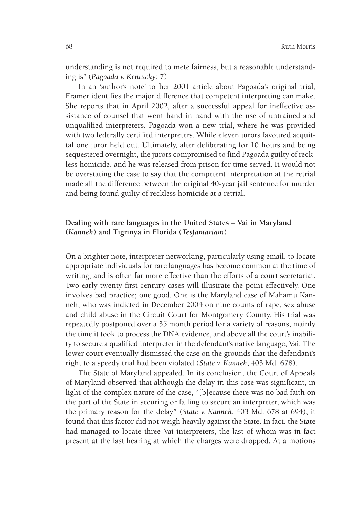understanding is not required to mete fairness, but a reasonable understanding is" (*Pagoada v. Kentucky*: 7).

In an 'author's note' to her 2001 article about Pagoada's original trial, Framer identifies the major difference that competent interpreting can make. She reports that in April 2002, after a successful appeal for ineffective assistance of counsel that went hand in hand with the use of untrained and unqualified interpreters, Pagoada won a new trial, where he was provided with two federally certified interpreters. While eleven jurors favoured acquittal one juror held out. Ultimately, after deliberating for 10 hours and being sequestered overnight, the jurors compromised to find Pagoada guilty of reckless homicide, and he was released from prison for time served. It would not be overstating the case to say that the competent interpretation at the retrial made all the difference between the original 40-year jail sentence for murder and being found guilty of reckless homicide at a retrial.

# **Dealing with rare languages in the United States – Vai in Maryland (***Kanneh***) and Tigrinya in Florida (***Tesfamariam***)**

On a brighter note, interpreter networking, particularly using email, to locate appropriate individuals for rare languages has become common at the time of writing, and is often far more effective than the efforts of a court secretariat. Two early twenty-first century cases will illustrate the point effectively. One involves bad practice; one good. One is the Maryland case of Mahamu Kanneh, who was indicted in December 2004 on nine counts of rape, sex abuse and child abuse in the Circuit Court for Montgomery County. His trial was repeatedly postponed over a 35 month period for a variety of reasons, mainly the time it took to process the DNA evidence, and above all the court's inability to secure a qualified interpreter in the defendant's native language, Vai. The lower court eventually dismissed the case on the grounds that the defendant's right to a speedy trial had been violated (*State v. Kanneh*, 403 Md. 678).

The State of Maryland appealed. In its conclusion, the Court of Appeals of Maryland observed that although the delay in this case was significant, in light of the complex nature of the case, "[b]ecause there was no bad faith on the part of the State in securing or failing to secure an interpreter, which was the primary reason for the delay" (*State v. Kanneh*, 403 Md. 678 at 694), it found that this factor did not weigh heavily against the State. In fact, the State had managed to locate three Vai interpreters, the last of whom was in fact present at the last hearing at which the charges were dropped. At a motions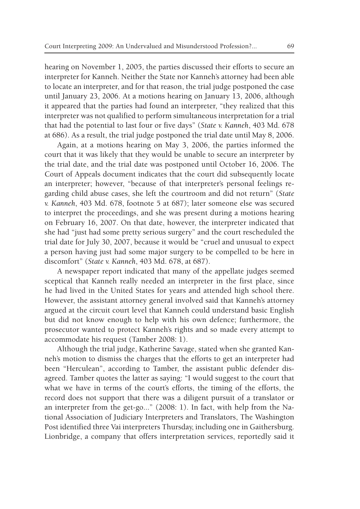hearing on November 1, 2005, the parties discussed their efforts to secure an interpreter for Kanneh. Neither the State nor Kanneh's attorney had been able to locate an interpreter, and for that reason, the trial judge postponed the case until January 23, 2006. At a motions hearing on January 13, 2006, although it appeared that the parties had found an interpreter, "they realized that this interpreter was not qualified to perform simultaneous interpretation for a trial that had the potential to last four or five days" (*State v. Kanneh*, 403 Md. 678 at 686). As a result, the trial judge postponed the trial date until May 8, 2006.

Again, at a motions hearing on May 3, 2006, the parties informed the court that it was likely that they would be unable to secure an interpreter by the trial date, and the trial date was postponed until October 16, 2006. The Court of Appeals document indicates that the court did subsequently locate an interpreter; however, "because of that interpreter's personal feelings regarding child abuse cases, she left the courtroom and did not return" (*State v. Kanneh*, 403 Md. 678, footnote 5 at 687); later someone else was secured to interpret the proceedings, and she was present during a motions hearing on February 16, 2007. On that date, however, the interpreter indicated that she had "just had some pretty serious surgery" and the court rescheduled the trial date for July 30, 2007, because it would be "cruel and unusual to expect a person having just had some major surgery to be compelled to be here in discomfort" (*State v. Kanneh*, 403 Md. 678, at 687).

A newspaper report indicated that many of the appellate judges seemed sceptical that Kanneh really needed an interpreter in the first place, since he had lived in the United States for years and attended high school there. However, the assistant attorney general involved said that Kanneh's attorney argued at the circuit court level that Kanneh could understand basic English but did not know enough to help with his own defence; furthermore, the prosecutor wanted to protect Kanneh's rights and so made every attempt to accommodate his request (Tamber 2008: 1).

Although the trial judge, Katherine Savage, stated when she granted Kanneh's motion to dismiss the charges that the efforts to get an interpreter had been "Herculean", according to Tamber, the assistant public defender disagreed. Tamber quotes the latter as saying: "I would suggest to the court that what we have in terms of the court's efforts, the timing of the efforts, the record does not support that there was a diligent pursuit of a translator or an interpreter from the get-go..." (2008: 1). In fact, with help from the National Association of Judiciary Interpreters and Translators, The Washington Post identified three Vai interpreters Thursday, including one in Gaithersburg. Lionbridge, a company that offers interpretation services, reportedly said it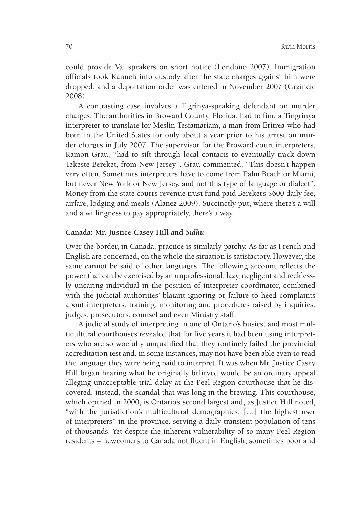could provide Vai speakers on short notice (Londoño 2007). Immigration officials took Kanneh into custody after the state charges against him were dropped, and a deportation order was entered in November 2007 (Grzincic 2008).

A contrasting case involves a Tigrinya-speaking defendant on murder charges. The authorities in Broward County, Florida, had to find a Tingrinya interpreter to translate for Mesfin Tesfamariam, a man from Eritrea who had been in the United States for only about a year prior to his arrest on murder charges in July 2007. The supervisor for the Broward court interpreters, Ramon Grau, **"**had to sift through local contacts to eventually track down Tekeste Bereket, from New Jersey". Grau commented, "This doesn't happen very often. Sometimes interpreters have to come from Palm Beach or Miami, but never New York or New Jersey, and not this type of language or dialect". Money from the state court's revenue trust fund paid Bereket's \$600 daily fee, airfare, lodging and meals (Alanez 2009). Succinctly put, where there's a will and a willingness to pay appropriately, there's a way.

#### **Canada: Mr. Justice Casey Hill and** *Sidhu*

Over the border, in Canada, practice is similarly patchy. As far as French and English are concerned, on the whole the situation is satisfactory. However, the same cannot be said of other languages. The following account reflects the power that can be exercised by an unprofessional, lazy, negligent and recklessly uncaring individual in the position of interpreter coordinator, combined with the judicial authorities' blatant ignoring or failure to heed complaints about interpreters, training, monitoring and procedures raised by inquiries, judges, prosecutors, counsel and even Ministry staff.

A judicial study of interpreting in one of Ontario's busiest and most multicultural courthouses revealed that for five years it had been using interpreters who are so woefully unqualified that they routinely failed the provincial accreditation test and, in some instances, may not have been able even to read the language they were being paid to interpret. It was when Mr. Justice Casey Hill began hearing what he originally believed would be an ordinary appeal alleging unacceptable trial delay at the Peel Region courthouse that he discovered, instead, the scandal that was long in the brewing. This courthouse, which opened in 2000, is Ontario's second largest and, as Justice Hill noted, "with the jurisdiction's multicultural demographics, […] the highest user of interpreters" in the province, serving a daily transient population of tens of thousands. Yet despite the inherent vulnerability of so many Peel Region residents – newcomers to Canada not fluent in English, sometimes poor and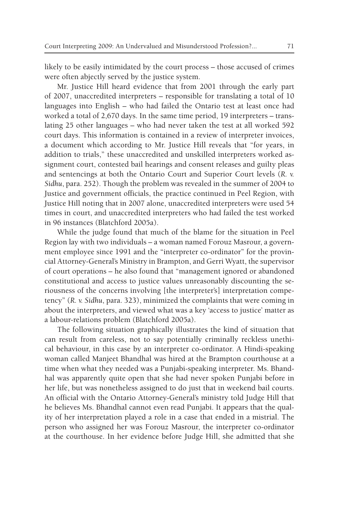likely to be easily intimidated by the court process – those accused of crimes were often abjectly served by the justice system.

Mr. Justice Hill heard evidence that from 2001 through the early part of 2007, unaccredited interpreters – responsible for translating a total of 10 languages into English – who had failed the Ontario test at least once had worked a total of 2,670 days. In the same time period, 19 interpreters – translating 25 other languages – who had never taken the test at all worked 592 court days. This information is contained in a review of interpreter invoices, a document which according to Mr. Justice Hill reveals that "for years, in addition to trials," these unaccredited and unskilled interpreters worked assignment court, contested bail hearings and consent releases and guilty pleas and sentencings at both the Ontario Court and Superior Court levels (*R. v. Sidhu*, para. 252). Though the problem was revealed in the summer of 2004 to Justice and government officials, the practice continued in Peel Region, with Justice Hill noting that in 2007 alone, unaccredited interpreters were used 54 times in court, and unaccredited interpreters who had failed the test worked in 96 instances (Blatchford 2005a).

While the judge found that much of the blame for the situation in Peel Region lay with two individuals – a woman named Forouz Masrour, a government employee since 1991 and the "interpreter co-ordinator" for the provincial Attorney-General's Ministry in Brampton, and Gerri Wyatt, the supervisor of court operations – he also found that "management ignored or abandoned constitutional and access to justice values unreasonably discounting the seriousness of the concerns involving [the interpreter's] interpretation competency" (*R. v. Sidhu*, para. 323), minimized the complaints that were coming in about the interpreters, and viewed what was a key 'access to justice' matter as a labour-relations problem (Blatchford 2005a).

The following situation graphically illustrates the kind of situation that can result from careless, not to say potentially criminally reckless unethical behaviour, in this case by an interpreter co-ordinator. A Hindi-speaking woman called Manjeet Bhandhal was hired at the Brampton courthouse at a time when what they needed was a Punjabi-speaking interpreter. Ms. Bhandhal was apparently quite open that she had never spoken Punjabi before in her life, but was nonetheless assigned to do just that in weekend bail courts. An official with the Ontario Attorney-General's ministry told Judge Hill that he believes Ms. Bhandhal cannot even read Punjabi. It appears that the quality of her interpretation played a role in a case that ended in a mistrial. The person who assigned her was Forouz Masrour, the interpreter co-ordinator at the courthouse. In her evidence before Judge Hill, she admitted that she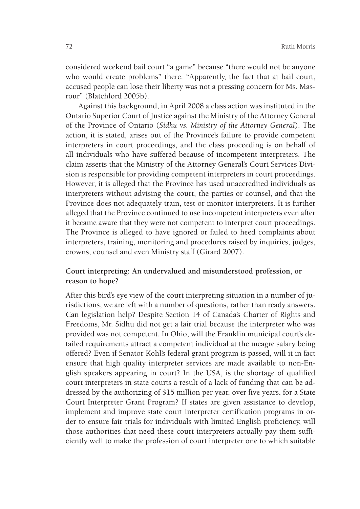considered weekend bail court "a game" because "there would not be anyone who would create problems" there. "Apparently, the fact that at bail court, accused people can lose their liberty was not a pressing concern for Ms. Masrour" (Blatchford 2005b).

Against this background, in April 2008 a class action was instituted in the Ontario Superior Court of Justice against the Ministry of the Attorney General of the Province of Ontario (*Sidhu vs. Ministry of the Attorney General*). The action, it is stated, arises out of the Province's failure to provide competent interpreters in court proceedings, and the class proceeding is on behalf of all individuals who have suffered because of incompetent interpreters. The claim asserts that the Ministry of the Attorney General's Court Services Division is responsible for providing competent interpreters in court proceedings. However, it is alleged that the Province has used unaccredited individuals as interpreters without advising the court, the parties or counsel, and that the Province does not adequately train, test or monitor interpreters. It is further alleged that the Province continued to use incompetent interpreters even after it became aware that they were not competent to interpret court proceedings. The Province is alleged to have ignored or failed to heed complaints about interpreters, training, monitoring and procedures raised by inquiries, judges, crowns, counsel and even Ministry staff (Girard 2007).

# **Court interpreting: An undervalued and misunderstood profession, or reason to hope?**

After this bird's eye view of the court interpreting situation in a number of jurisdictions, we are left with a number of questions, rather than ready answers. Can legislation help? Despite Section 14 of Canada's Charter of Rights and Freedoms, Mr. Sidhu did not get a fair trial because the interpreter who was provided was not competent. In Ohio, will the Franklin municipal court's detailed requirements attract a competent individual at the meagre salary being offered? Even if Senator Kohl's federal grant program is passed, will it in fact ensure that high quality interpreter services are made available to non-English speakers appearing in court? In the USA, is the shortage of qualified court interpreters in state courts a result of a lack of funding that can be addressed by the authorizing of \$15 million per year, over five years, for a State Court Interpreter Grant Program? If states are given assistance to develop, implement and improve state court interpreter certification programs in order to ensure fair trials for individuals with limited English proficiency, will those authorities that need these court interpreters actually pay them sufficiently well to make the profession of court interpreter one to which suitable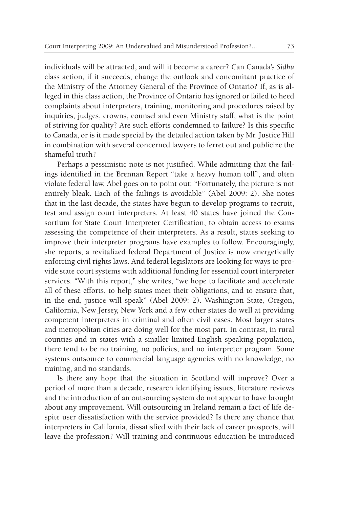individuals will be attracted, and will it become a career? Can Canada's *Sidhu* class action, if it succeeds, change the outlook and concomitant practice of the Ministry of the Attorney General of the Province of Ontario? If, as is alleged in this class action, the Province of Ontario has ignored or failed to heed complaints about interpreters, training, monitoring and procedures raised by inquiries, judges, crowns, counsel and even Ministry staff, what is the point of striving for quality? Are such efforts condemned to failure? Is this specific to Canada, or is it made special by the detailed action taken by Mr. Justice Hill in combination with several concerned lawyers to ferret out and publicize the shameful truth?

Perhaps a pessimistic note is not justified. While admitting that the failings identified in the Brennan Report "take a heavy human toll", and often violate federal law, Abel goes on to point out: "Fortunately, the picture is not entirely bleak. Each of the failings is avoidable" (Abel 2009: 2). She notes that in the last decade, the states have begun to develop programs to recruit, test and assign court interpreters. At least 40 states have joined the Consortium for State Court Interpreter Certification, to obtain access to exams assessing the competence of their interpreters. As a result, states seeking to improve their interpreter programs have examples to follow. Encouragingly, she reports, a revitalized federal Department of Justice is now energetically enforcing civil rights laws. And federal legislators are looking for ways to provide state court systems with additional funding for essential court interpreter services. "With this report," she writes, "we hope to facilitate and accelerate all of these efforts, to help states meet their obligations, and to ensure that, in the end, justice will speak" (Abel 2009: 2). Washington State, Oregon, California, New Jersey, New York and a few other states do well at providing competent interpreters in criminal and often civil cases. Most larger states and metropolitan cities are doing well for the most part. In contrast, in rural counties and in states with a smaller limited-English speaking population, there tend to be no training, no policies, and no interpreter program. Some systems outsource to commercial language agencies with no knowledge, no training, and no standards.

Is there any hope that the situation in Scotland will improve? Over a period of more than a decade, research identifying issues, literature reviews and the introduction of an outsourcing system do not appear to have brought about any improvement. Will outsourcing in Ireland remain a fact of life despite user dissatisfaction with the service provided? Is there any chance that interpreters in California, dissatisfied with their lack of career prospects, will leave the profession? Will training and continuous education be introduced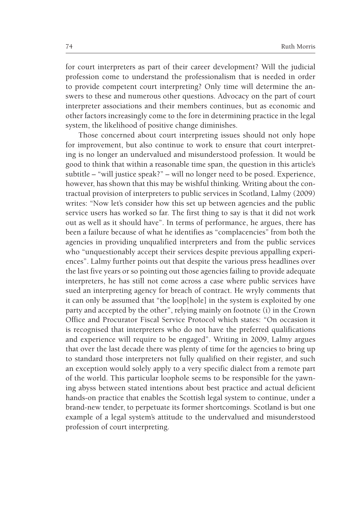for court interpreters as part of their career development? Will the judicial profession come to understand the professionalism that is needed in order to provide competent court interpreting? Only time will determine the answers to these and numerous other questions. Advocacy on the part of court interpreter associations and their members continues, but as economic and other factors increasingly come to the fore in determining practice in the legal system, the likelihood of positive change diminishes.

Those concerned about court interpreting issues should not only hope for improvement, but also continue to work to ensure that court interpreting is no longer an undervalued and misunderstood profession. It would be good to think that within a reasonable time span, the question in this article's subtitle – "will justice speak?" – will no longer need to be posed. Experience, however, has shown that this may be wishful thinking. Writing about the contractual provision of interpreters to public services in Scotland, Lalmy (2009) writes: "Now let's consider how this set up between agencies and the public service users has worked so far. The first thing to say is that it did not work out as well as it should have". In terms of performance, he argues, there has been a failure because of what he identifies as "complacencies" from both the agencies in providing unqualified interpreters and from the public services who "unquestionably accept their services despite previous appalling experiences". Lalmy further points out that despite the various press headlines over the last five years or so pointing out those agencies failing to provide adequate interpreters, he has still not come across a case where public services have sued an interpreting agency for breach of contract. He wryly comments that it can only be assumed that "the loop[hole] in the system is exploited by one party and accepted by the other", relying mainly on footnote (i) in the Crown Office and Procurator Fiscal Service Protocol which states: "On occasion it is recognised that interpreters who do not have the preferred qualifications and experience will require to be engaged". Writing in 2009, Lalmy argues that over the last decade there was plenty of time for the agencies to bring up to standard those interpreters not fully qualified on their register, and such an exception would solely apply to a very specific dialect from a remote part of the world. This particular loophole seems to be responsible for the yawning abyss between stated intentions about best practice and actual deficient hands-on practice that enables the Scottish legal system to continue, under a brand-new tender, to perpetuate its former shortcomings. Scotland is but one example of a legal system's attitude to the undervalued and misunderstood profession of court interpreting.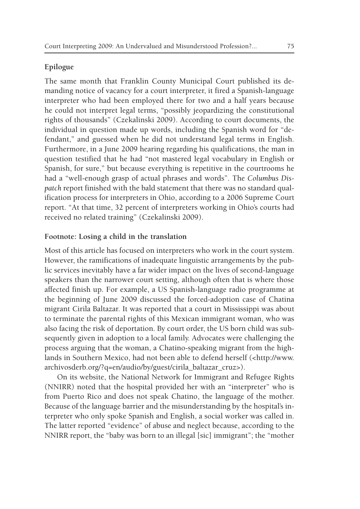### **Epilogue**

The same month that Franklin County Municipal Court published its demanding notice of vacancy for a court interpreter, it fired a Spanish-language interpreter who had been employed there for two and a half years because he could not interpret legal terms, "possibly jeopardizing the constitutional rights of thousands" (Czekalinski 2009). According to court documents, the individual in question made up words, including the Spanish word for "defendant," and guessed when he did not understand legal terms in English. Furthermore, in a June 2009 hearing regarding his qualifications, the man in question testified that he had "not mastered legal vocabulary in English or Spanish, for sure," but because everything is repetitive in the courtrooms he had a "well-enough grasp of actual phrases and words". The *Columbus Dispatch* report finished with the bald statement that there was no standard qualification process for interpreters in Ohio, according to a 2006 Supreme Court report. "At that time, 32 percent of interpreters working in Ohio's courts had received no related training" (Czekalinski 2009).

#### **Footnote: Losing a child in the translation**

Most of this article has focused on interpreters who work in the court system. However, the ramifications of inadequate linguistic arrangements by the public services inevitably have a far wider impact on the lives of second-language speakers than the narrower court setting, although often that is where those affected finish up. For example, a US Spanish-language radio programme at the beginning of June 2009 discussed the forced-adoption case of Chatina migrant Cirila Baltazar. It was reported that a court in Mississippi was about to terminate the parental rights of this Mexican immigrant woman, who was also facing the risk of deportation. By court order, the US born child was subsequently given in adoption to a local family. Advocates were challenging the process arguing that the woman, a Chatino-speaking migrant from the highlands in Southern Mexico, had not been able to defend herself (<http://www. archivosderb.org/?q=en/audio/by/guest/cirila\_baltazar\_cruz>).

On its website, the National Network for Immigrant and Refugee Rights (NNIRR) noted that the hospital provided her with an "interpreter" who is from Puerto Rico and does not speak Chatino, the language of the mother. Because of the language barrier and the misunderstanding by the hospital's interpreter who only spoke Spanish and English, a social worker was called in. The latter reported "evidence" of abuse and neglect because, according to the NNIRR report, the "baby was born to an illegal [sic] immigrant"; the "mother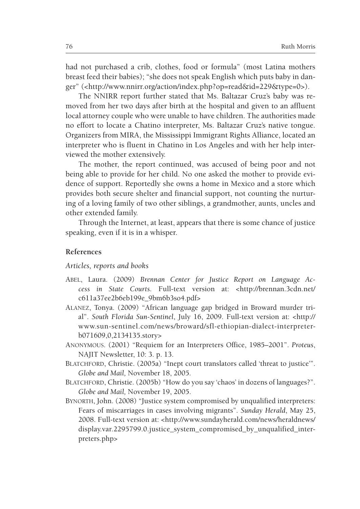had not purchased a crib, clothes, food or formula" (most Latina mothers breast feed their babies); "she does not speak English which puts baby in danger" (<http://www.nnirr.org/action/index.php?op=read&id=229&type=0>).

The NNIRR report further stated that Ms. Baltazar Cruz's baby was removed from her two days after birth at the hospital and given to an affluent local attorney couple who were unable to have children. The authorities made no effort to locate a Chatino interpreter, Ms. Baltazar Cruz's native tongue. Organizers from MIRA, the Mississippi Immigrant Rights Alliance, located an interpreter who is fluent in Chatino in Los Angeles and with her help interviewed the mother extensively.

The mother, the report continued, was accused of being poor and not being able to provide for her child. No one asked the mother to provide evidence of support. Reportedly she owns a home in Mexico and a store which provides both secure shelter and financial support, not counting the nurturing of a loving family of two other siblings, a grandmother, aunts, uncles and other extended family.

Through the Internet, at least, appears that there is some chance of justice speaking, even if it is in a whisper.

#### **References**

#### *Articles, reports and books*

- Abel, Laura. (2009) *Brennan Center for Justice Report on Language Access in State Courts*. Full-text version at: <http://brennan.3cdn.net/ c611a37ee2b6eb199e\_9bm6b3so4.pdf>
- Alanez, Tonya. (2009) "African language gap bridged in Broward murder trial". *South Florida Sun-Sentinel*, July 16, 2009. Full-text version at: <http:// www.sun-sentinel.com/news/broward/sfl-ethiopian-dialect-interpreterb071609,0,2134135.story>
- Anonymous. (2001) "Requiem for an Interpreters Office, 1985–2001". *Proteus*, NAJIT Newsletter, 10: 3. p. 13.
- BLATCHFORD, Christie. (2005a) "Inept court translators called 'threat to justice"". *Globe and Mail,* November 18, 2005.
- BLATCHFORD, Christie. (2005b) "How do you say 'chaos' in dozens of languages?". *Globe and Mail,* November 19, 2005.
- Bynorth, John. (2008) "Justice system compromised by unqualified interpreters: Fears of miscarriages in cases involving migrants". *Sunday Herald*, May 25, 2008. Full-text version at: <http://www.sundayherald.com/news/heraldnews/ display.var.2295799.0.justice\_system\_compromised\_by\_unqualified\_interpreters.php>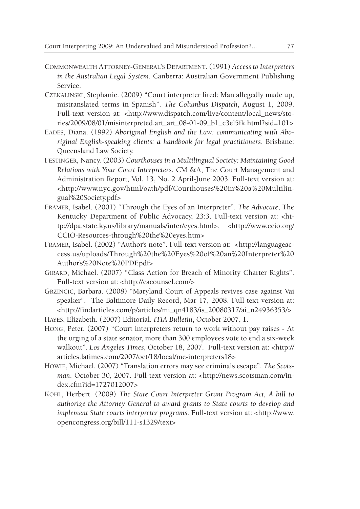- Commonwealth Attorney-General's Department. (1991) *Access to Interpreters in the Australian Legal System*. Canberra: Australian Government Publishing Service.
- Czekalinski, Stephanie. (2009) "Court interpreter fired: Man allegedly made up, mistranslated terms in Spanish". *The Columbus Dispatch*, August 1, 2009. Full-text version at: <http://www.dispatch.com/live/content/local\_news/stories/2009/08/01/misinterpreted.art\_art\_08-01-09\_b1\_c3el5fk.html?sid=101>
- Eades, Diana. (1992) *Aboriginal English and the Law: communicating with Aboriginal English-speaking clients: a handbook for legal practitioners*. Brisbane: Queensland Law Society.
- Festinger, Nancy. (2003) *Courthouses in a Multilingual Society: Maintaining Good Relations with Your Court Interpreters.* CM &A, The Court Management and Administration Report, Vol. 13, No. 2 April-June 2003. Full-text version at: <http://www.nyc.gov/html/oath/pdf/Courthouses%20in%20a%20Multilingual%20Society.pdf>
- Framer, Isabel. (2001) "Through the Eyes of an Interpreter". *The Advocate*, The Kentucky Department of Public Advocacy, 23:3. Full-text version at: <http://dpa.state.ky.us/library/manuals/inter/eyes.html>, <http://www.ccio.org/ CCIO-Resources-through%20the%20eyes.htm>
- Framer, Isabel. (2002) "Author's note". Full-text version at: <http://languageaccess.us/uploads/Through%20the%20Eyes%20of%20an%20Interpreter%20 Author's%20Note%20PDF.pdf>
- Girard, Michael. (2007) "Class Action for Breach of Minority Charter Rights". Full-text version at: <http://cacounsel.com/>
- Grzincic, Barbara. (2008) "Maryland Court of Appeals revives case against Vai speaker". The Baltimore Daily Record, Mar 17, 2008. Full-text version at: <http://findarticles.com/p/articles/mi\_qn4183/is\_20080317/ai\_n24936353/>
- Hayes, Elizabeth. (2007) Editorial. *ITIA Bulletin*, October 2007, 1.
- Hong, Peter. (2007) "Court interpreters return to work without pay raises At the urging of a state senator, more than 300 employees vote to end a six-week walkout". *Los Angeles Times*, October 18, 2007. Full-text version at: <http:// articles.latimes.com/2007/oct/18/local/me-interpreters18>
- Howie, Michael. (2007) "Translation errors may see criminals escape". *The Scotsman*. October 30, 2007. Full-text version at: <http://news.scotsman.com/index.cfm?id=1727012007>
- Kohl, Herbert. (2009) *The State Court Interpreter Grant Program Act, A bill to authorize the Attorney General to award grants to State courts to develop and implement State courts interpreter programs*. Full-text version at: <http://www. opencongress.org/bill/111-s1329/text>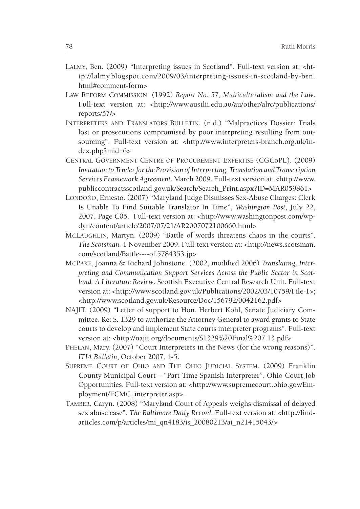- Lalmy, Ben. (2009) "Interpreting issues in Scotland". Full-text version at: <http://lalmy.blogspot.com/2009/03/interpreting-issues-in-scotland-by-ben. html#comment-form>
- Law Reform Commission. (1992) *Report No. 57, Multiculturalism and the Law*. Full-text version at: <http://www.austlii.edu.au/au/other/alrc/publications/ reports/57/>
- Interpreters and Translators Bulletin. (n.d.) "Malpractices Dossier*:* Trials lost or prosecutions compromised by poor interpreting resulting from outsourcing". Full-text version at: <http://www.interpreters-branch.org.uk/index.php?mid=6>
- Central Government Centre of Procurement Expertise (CGCoPE). (2009) *Invitation to Tender for the Provision of Interpreting, Translation and Transcription Services Framework Agreement*. March 2009. Full-text version at: <http://www. publiccontractsscotland.gov.uk/Search/Search\_Print.aspx?ID=MAR059861>
- LONDOÑO, Ernesto. (2007) "Maryland Judge Dismisses Sex-Abuse Charges: Clerk Is Unable To Find Suitable Translator In Time", *Washington Post*, July 22, 2007, Page C05. Full-text version at: <http://www.washingtonpost.com/wpdyn/content/article/2007/07/21/AR2007072100660.html>
- McLaughlin, Martyn. (2009) "Battle of words threatens chaos in the courts". *The Scotsman.* 1 November 2009. Full-text version at: <http://news.scotsman. com/scotland/Battle----of.5784353.jp>
- McPake, Joanna & Richard Johnstone. (2002, modified 2006) *Translating, Interpreting and Communication Support Services Across the Public Sector in Scotland: A Literature Review*. Scottish Executive Central Research Unit. Full-text version at: <http://www.scotland.gov.uk/Publications/2002/03/10759/File-1>; <http://www.scotland.gov.uk/Resource/Doc/156792/0042162.pdf>
- NAJIT. (2009) "Letter of support to Hon. Herbert Kohl, Senate Judiciary Committee. Re: S. 1329 to authorize the Attorney General to award grants to State courts to develop and implement State courts interpreter programs". Full-text version at: <http://najit.org/documents/S1329%20Final%207.13.pdf>
- PHELAN, Mary. (2007) "Court Interpreters in the News (for the wrong reasons)". *ITIA Bulletin*, October 2007, 4-5.
- Supreme Court of Ohio and The Ohio Judicial System. (2009) Franklin County Municipal Court – "Part-Time Spanish Interpreter", Ohio Court Job Opportunities. Full-text version at: <http://www.supremecourt.ohio.gov/Employment/FCMC\_interpreter.asp>.
- Tamber, Caryn. (2008) "Maryland Court of Appeals weighs dismissal of delayed sex abuse case". *The Baltimore Daily Record***.** Full-text version at: <http://findarticles.com/p/articles/mi\_qn4183/is\_20080213/ai\_n21415043/>